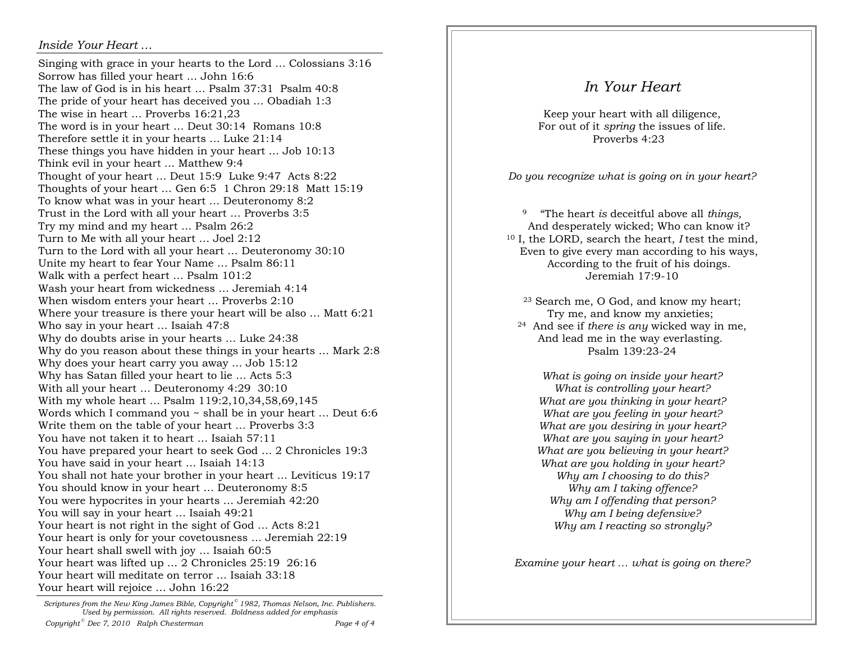## *Inside Your Heart …*

Singing with grace in your hearts to the Lord … Colossians 3:16 Sorrow has filled your heart … John 16:6 The law of God is in his heart … Psalm 37:31 Psalm 40:8 The pride of your heart has deceived you … Obadiah 1:3 The wise in heart … Proverbs 16:21,23 The word is in your heart … Deut 30:14 Romans 10:8Therefore settle it in your hearts … Luke 21:14 These things you have hidden in your heart … Job 10:13 Think evil in your heart … Matthew 9:4 Thought of your heart … Deut 15:9 Luke 9:47 Acts 8:22 Thoughts of your heart … Gen 6:5 1 Chron 29:18 Matt 15:19 To know what was in your heart … Deuteronomy 8:2 Trust in the Lord with all your heart … Proverbs 3:5 Try my mind and my heart … Psalm 26:2 Turn to Me with all your heart … Joel 2:12 Turn to the Lord with all your heart … Deuteronomy 30:10 Unite my heart to fear Your Name … Psalm 86:11 Walk with a perfect heart … Psalm 101:2 Wash your heart from wickedness … Jeremiah 4:14 When wisdom enters your heart … Proverbs 2:10 Where your treasure is there your heart will be also … Matt 6:21 Who say in your heart … Isaiah 47:8 Why do doubts arise in your hearts … Luke 24:38 Why do you reason about these things in your hearts … Mark 2:8 Why does your heart carry you away … Job 15:12 Why has Satan filled your heart to lie … Acts 5:3 With all your heart … Deuteronomy 4:29 30:10 With my whole heart … Psalm 119:2,10,34,58,69,145 Words which I command you ~ shall be in your heart … Deut 6:6 Write them on the table of your heart … Proverbs 3:3 You have not taken it to heart … Isaiah 57:11 You have prepared your heart to seek God … 2 Chronicles 19:3 You have said in your heart … Isaiah 14:13 You shall not hate your brother in your heart … Leviticus 19:17 You should know in your heart … Deuteronomy 8:5 You were hypocrites in your hearts … Jeremiah 42:20You will say in your heart … Isaiah 49:21 Your heart is not right in the sight of God … Acts 8:21 Your heart is only for your covetousness … Jeremiah 22:19 Your heart shall swell with joy ... Isaiah 60:5 Your heart was lifted up … 2 Chronicles 25:19 26:16 Your heart will meditate on terror … Isaiah 33:18 Your heart will rejoice … John 16:22

*Scriptures from the New King James Bible, Copyright © 1982, Thomas Nelson, Inc. Publishers. Used by permission. All rights reserved. Boldness added for emphasis*Page 4 of 4 *Copyright*<sup>©</sup> Dec 7, 2010 Ralph Chesterman

## *In Your Heart*

Keep your heart with all diligence, For out of it *spring* the issues of life. Proverbs 4:23

*Do you recognize what is going on in your heart?* 

9 "The heart *is* deceitful above all *things,* And desperately wicked; Who can know it? 10 I, the LORD, search the heart, *I* test the mind, Even to give every man according to his ways, According to the fruit of his doings. Jeremiah 17:9-10

23 Search me, O God, and know my heart; Try me, and know my anxieties; 24 And see if *there is any* wicked way in me, And lead me in the way everlasting. Psalm 139:23-24

*What is going on inside your heart? What is controlling your heart? What are you thinking in your heart? What are you feeling in your heart? What are you desiring in your heart? What are you saying in your heart? What are you believing in your heart? What are you holding in your heart? Why am I choosing to do this? Why am I taking offence? Why am I offending that person? Why am I being defensive? Why am I reacting so strongly?* 

*Examine your heart … what is going on there?*